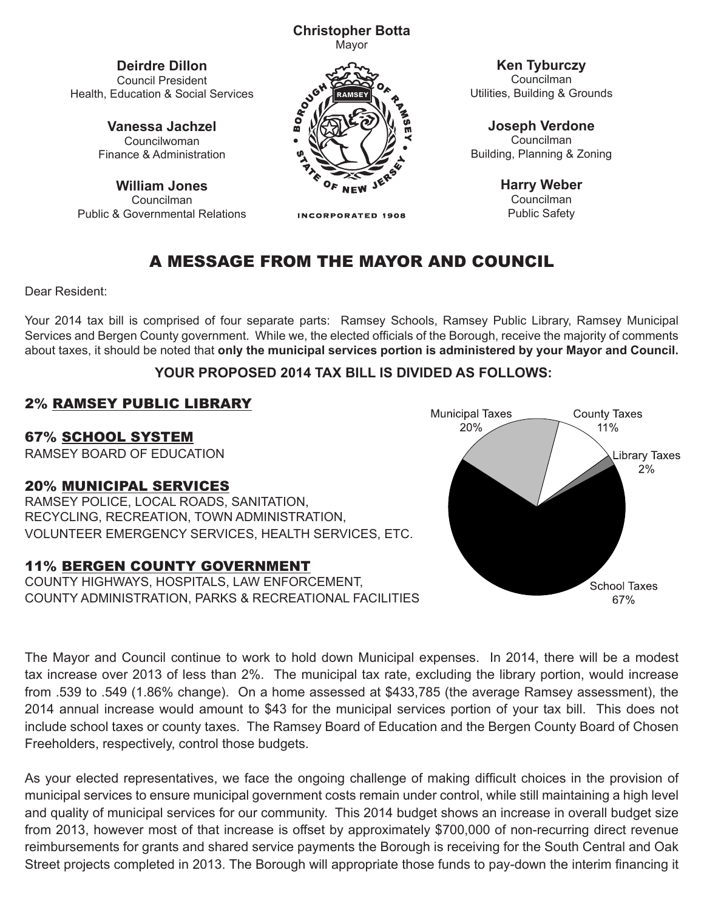**Christopher Botta** Mayor

**Deirdre Dillon** Council President Health, Education & Social Services

> **Vanessa Jachzel** Councilwoman Finance & Administration

**William Jones** Councilman Public & Governmental Relations



**INCORPORATED 1908** 

**Ken Tyburczy** Councilman Utilities, Building & Grounds

**Joseph Verdone** Councilman Building, Planning & Zoning

> **Harry Weber** Councilman Public Safety

# A MESSAGE FROM THE MAYOR AND COUNCIL

Dear Resident:

Your 2014 tax bill is comprised of four separate parts: Ramsey Schools, Ramsey Public Library, Ramsey Municipal Services and Bergen County government. While we, the elected officials of the Borough, receive the majority of comments about taxes, it should be noted that **only the municipal services portion is administered by your Mayor and Council.**

#### **YOUR PROPOSED 2014 TAX BILL IS DIVIDED AS FOLLOWS:**

### 2% RAMSEY PUBLIC LIBRARY

67% SCHOOL SYSTEM

RAMSEY BOARD OF EDUCATION

#### 20% MUNICIPAL SERVICES

RAMSEY POLICE, LOCAL ROADS, SANITATION, RECYCLING, RECREATION, TOWN ADMINISTRATION, VOLUNTEER EMERGENCY SERVICES, HEALTH SERVICES, ETC.

#### 11% BERGEN COUNTY GOVERNMENT

COUNTY HIGHWAYS, HOSPITALS, LAW ENFORCEMENT, COUNTY ADMINISTRATION, PARKS & RECREATIONAL FACILITIES



The Mayor and Council continue to work to hold down Municipal expenses. In 2014, there will be a modest<br>tax increase over 2013 of less than 2%. The municipal tax rate, excluding the library portion, would increase tax increase over 2013 of less than 2%. The municipal tax rate, excluding the library portion, would increase from .539 to .549 (1.86% change). On a home assessed at \$433,785 (the average Ramsey assessment), the 2014 annual increase would amount to \$43 for the municipal services portion of your tax bill. This does not include school taxes or county taxes. The Ramsey Board of Education and the Bergen County Board of Chosen Freeholders, respectively, control those budgets.

As your elected representatives, we face the ongoing challenge of making difficult choices in the provision of municipal services to ensure municipal government costs remain under control, while still maintaining a high level and quality of municipal services for our community. This 2014 budget shows an increase in overall budget size from 2013, however most of that increase is offset by approximately \$700,000 of non-recurring direct revenue reimbursements for grants and shared service payments the Borough is receiving for the South Central and Oak Street projects completed in 2013. The Borough will appropriate those funds to pay-down the interim financing it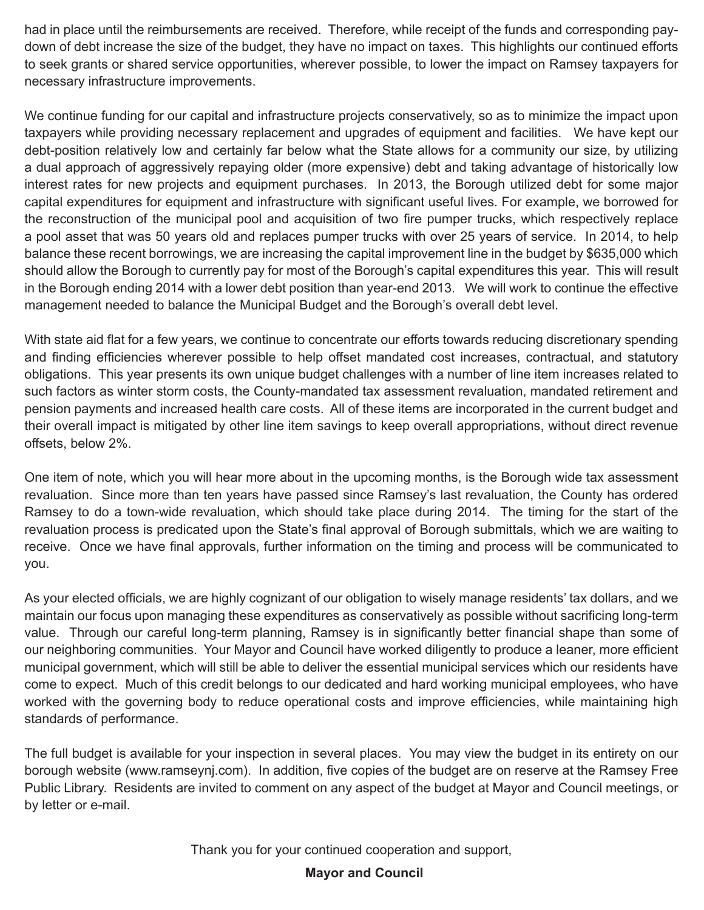had in place until the reimbursements are received. Therefore, while receipt of the funds and corresponding paydown of debt increase the size of the budget, they have no impact on taxes. This highlights our continued efforts to seek grants or shared service opportunities, wherever possible, to lower the impact on Ramsey taxpayers for necessary infrastructure improvements.

We continue funding for our capital and infrastructure projects conservatively, so as to minimize the impact upon taxpayers while providing necessary replacement and upgrades of equipment and facilities. We have kept our debt-position relatively low and certainly far below what the State allows for a community our size, by utilizing a dual approach of aggressively repaying older (more expensive) debt and taking advantage of historically low interest rates for new projects and equipment purchases. In 2013, the Borough utilized debt for some major capital expenditures for equipment and infrastructure with significant useful lives. For example, we borrowed for the reconstruction of the municipal pool and acquisition of two fire pumper trucks, which respectively replace a pool asset that was 50 years old and replaces pumper trucks with over 25 years of service. In 2014, to help balance these recent borrowings, we are increasing the capital improvement line in the budget by \$635,000 which should allow the Borough to currently pay for most of the Borough's capital expenditures this year. This will result in the Borough ending 2014 with a lower debt position than year-end 2013. We will work to continue the effective management needed to balance the Municipal Budget and the Borough's overall debt level.

With state aid flat for a few years, we continue to concentrate our efforts towards reducing discretionary spending and finding efficiencies wherever possible to help offset mandated cost increases, contractual, and statutory obligations. This year presents its own unique budget challenges with a number of line item increases related to such factors as winter storm costs, the County-mandated tax assessment revaluation, mandated retirement and pension payments and increased health care costs. All of these items are incorporated in the current budget and their overall impact is mitigated by other line item savings to keep overall appropriations, without direct revenue offsets, below 2%.

One item of note, which you will hear more about in the upcoming months, is the Borough wide tax assessment revaluation. Since more than ten years have passed since Ramsey's last revaluation, the County has ordered Ramsey to do a town-wide revaluation, which should take place during 2014. The timing for the start of the revaluation process is predicated upon the State's final approval of Borough submittals, which we are waiting to receive. Once we have final approvals, further information on the timing and process will be communicated to you.

As your elected officials, we are highly cognizant of our obligation to wisely manage residents' tax dollars, and we maintain our focus upon managing these expenditures as conservatively as possible without sacrificing long-term value. Through our careful long-term planning, Ramsey is in significantly better financial shape than some of our neighboring communities. Your Mayor and Council have worked diligently to produce a leaner, more efficient municipal government, which will still be able to deliver the essential municipal services which our residents have come to expect. Much of this credit belongs to our dedicated and hard working municipal employees, who have worked with the governing body to reduce operational costs and improve efficiencies, while maintaining high standards of performance.

The full budget is available for your inspection in several places. You may view the budget in its entirety on our borough website (www.ramseynj.com). In addition, five copies of the budget are on reserve at the Ramsey Free Public Library. Residents are invited to comment on any aspect of the budget at Mayor and Council meetings, or by letter or e-mail.

Thank you for your continued cooperation and support,

#### **Mayor and Council**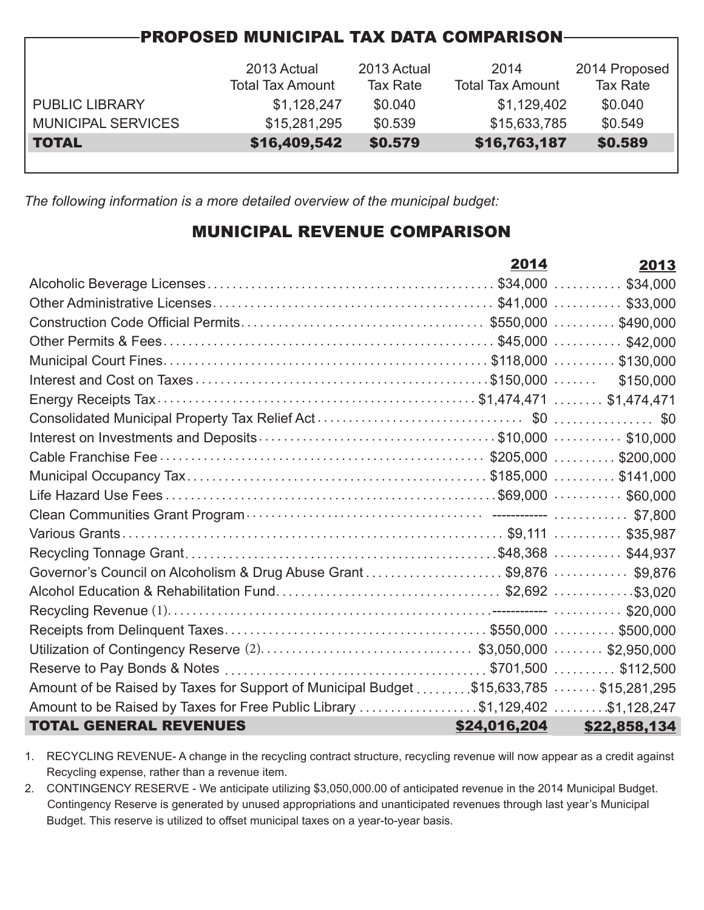| <b>PROPOSED MUNICIPAL TAX DATA COMPARISON</b> |                         |                 |                         |                 |  |  |  |
|-----------------------------------------------|-------------------------|-----------------|-------------------------|-----------------|--|--|--|
|                                               |                         |                 |                         |                 |  |  |  |
|                                               | 2013 Actual             | 2013 Actual     | 2014                    | 2014 Proposed   |  |  |  |
|                                               | <b>Total Tax Amount</b> | <b>Tax Rate</b> | <b>Total Tax Amount</b> | <b>Tax Rate</b> |  |  |  |
| <b>PUBLIC LIBRARY</b>                         | \$1,128,247             | \$0.040         | \$1,129,402             | \$0.040         |  |  |  |
| <b>MUNICIPAL SERVICES</b>                     | \$15,281,295            | \$0.539         | \$15,633,785            | \$0.549         |  |  |  |
| <b>TOTAL</b>                                  | \$16,409,542            | \$0.579         | \$16,763,187            | \$0.589         |  |  |  |
|                                               |                         |                 |                         |                 |  |  |  |

*The following information is a more detailed overview of the municipal budget:*

## MUNICIPAL REVENUE COMPARISON

|                                                                                        | 2014 | 2013                      |
|----------------------------------------------------------------------------------------|------|---------------------------|
|                                                                                        |      |                           |
|                                                                                        |      |                           |
|                                                                                        |      |                           |
|                                                                                        |      |                           |
|                                                                                        |      |                           |
|                                                                                        |      |                           |
|                                                                                        |      |                           |
|                                                                                        |      |                           |
|                                                                                        |      |                           |
|                                                                                        |      |                           |
|                                                                                        |      |                           |
|                                                                                        |      |                           |
|                                                                                        |      |                           |
|                                                                                        |      |                           |
|                                                                                        |      |                           |
| Governor's Council on Alcoholism & Drug Abuse Grant\$9,876 \$9,876                     |      |                           |
|                                                                                        |      |                           |
|                                                                                        |      |                           |
|                                                                                        |      |                           |
|                                                                                        |      |                           |
|                                                                                        |      |                           |
| Amount of be Raised by Taxes for Support of Municipal Budget \$15,633,785 \$15,281,295 |      |                           |
| Amount to be Raised by Taxes for Free Public Library \$1,129,402 \$1,128,247           |      |                           |
| <b>TOTAL GENERAL REVENUES</b>                                                          |      | \$24,016,204 \$22,858,134 |

1. RECYCLING REVENUE- A change in the recycling contract structure, recycling revenue will now appear as a credit against Recycling expense, rather than a revenue item.

2. CONTINGENCY RESERVE - We anticipate utilizing \$3,050,000.00 of anticipated revenue in the 2014 Municipal Budget. Contingency Reserve is generated by unused appropriations and unanticipated revenues through last year's Municipal Budget. This reserve is utilized to offset municipal taxes on a year-to-year basis.